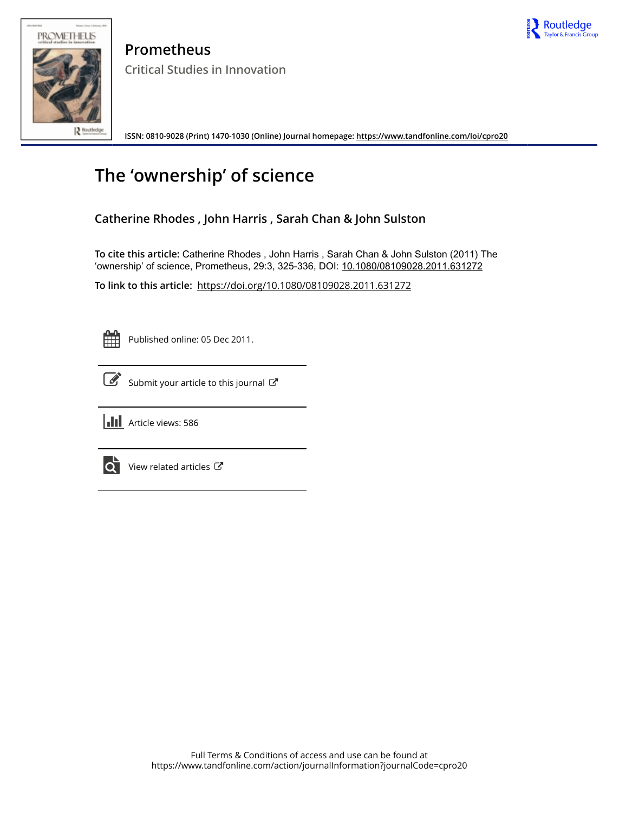



**Prometheus Critical Studies in Innovation**

**ISSN: 0810-9028 (Print) 1470-1030 (Online) Journal homepage:<https://www.tandfonline.com/loi/cpro20>**

# **The 'ownership' of science**

# **Catherine Rhodes , John Harris , Sarah Chan & John Sulston**

**To cite this article:** Catherine Rhodes , John Harris , Sarah Chan & John Sulston (2011) The 'ownership' of science, Prometheus, 29:3, 325-336, DOI: [10.1080/08109028.2011.631272](https://www.tandfonline.com/action/showCitFormats?doi=10.1080/08109028.2011.631272)

**To link to this article:** <https://doi.org/10.1080/08109028.2011.631272>

Published online: 05 Dec 2011.



[Submit your article to this journal](https://www.tandfonline.com/action/authorSubmission?journalCode=cpro20&show=instructions)  $\mathbb{Z}$ 



**III** Article views: 586



 $\overrightarrow{Q}$  [View related articles](https://www.tandfonline.com/doi/mlt/10.1080/08109028.2011.631272)  $\overrightarrow{C}$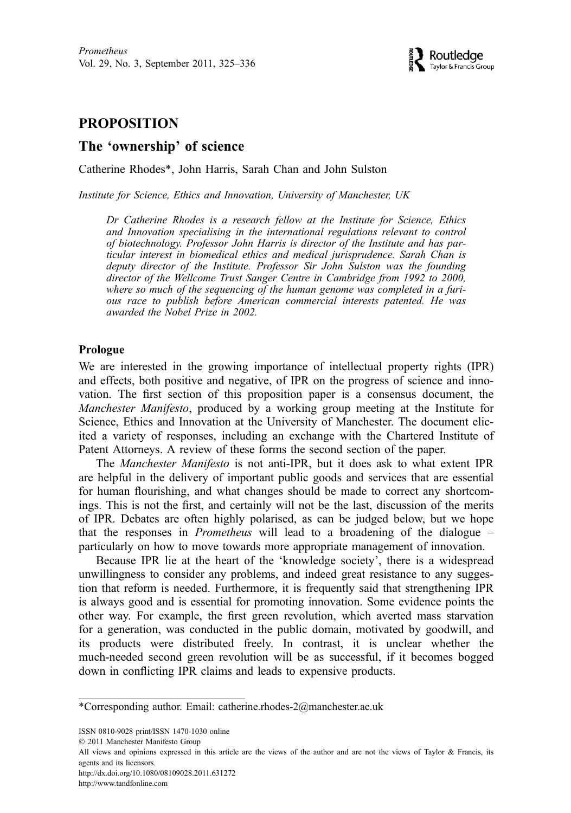# PROPOSITION

# The 'ownership' of science

Catherine Rhodes\*, John Harris, Sarah Chan and John Sulston

Institute for Science, Ethics and Innovation, University of Manchester, UK

Dr Catherine Rhodes is a research fellow at the Institute for Science, Ethics and Innovation specialising in the international regulations relevant to control of biotechnology. Professor John Harris is director of the Institute and has particular interest in biomedical ethics and medical jurisprudence. Sarah Chan is deputy director of the Institute. Professor Sir John Sulston was the founding director of the Wellcome Trust Sanger Centre in Cambridge from 1992 to 2000, where so much of the sequencing of the human genome was completed in a furious race to publish before American commercial interests patented. He was awarded the Nobel Prize in 2002.

#### Prologue

We are interested in the growing importance of intellectual property rights (IPR) and effects, both positive and negative, of IPR on the progress of science and innovation. The first section of this proposition paper is a consensus document, the Manchester Manifesto, produced by a working group meeting at the Institute for Science, Ethics and Innovation at the University of Manchester. The document elicited a variety of responses, including an exchange with the Chartered Institute of Patent Attorneys. A review of these forms the second section of the paper.

The Manchester Manifesto is not anti-IPR, but it does ask to what extent IPR are helpful in the delivery of important public goods and services that are essential for human flourishing, and what changes should be made to correct any shortcomings. This is not the first, and certainly will not be the last, discussion of the merits of IPR. Debates are often highly polarised, as can be judged below, but we hope that the responses in Prometheus will lead to a broadening of the dialogue – particularly on how to move towards more appropriate management of innovation.

Because IPR lie at the heart of the 'knowledge society', there is a widespread unwillingness to consider any problems, and indeed great resistance to any suggestion that reform is needed. Furthermore, it is frequently said that strengthening IPR is always good and is essential for promoting innovation. Some evidence points the other way. For example, the first green revolution, which averted mass starvation for a generation, was conducted in the public domain, motivated by goodwill, and its products were distributed freely. In contrast, it is unclear whether the much-needed second green revolution will be as successful, if it becomes bogged down in conflicting IPR claims and leads to expensive products.

ISSN 0810-9028 print/ISSN 1470-1030 online

http://dx.doi.org/10.1080/08109028.2011.631272

```
http://www.tandfonline.com
```
<sup>\*</sup>Corresponding author. Email: catherine.rhodes-2@manchester.ac.uk

2011 Manchester Manifesto Group

All views and opinions expressed in this article are the views of the author and are not the views of Taylor & Francis, its agents and its licensors.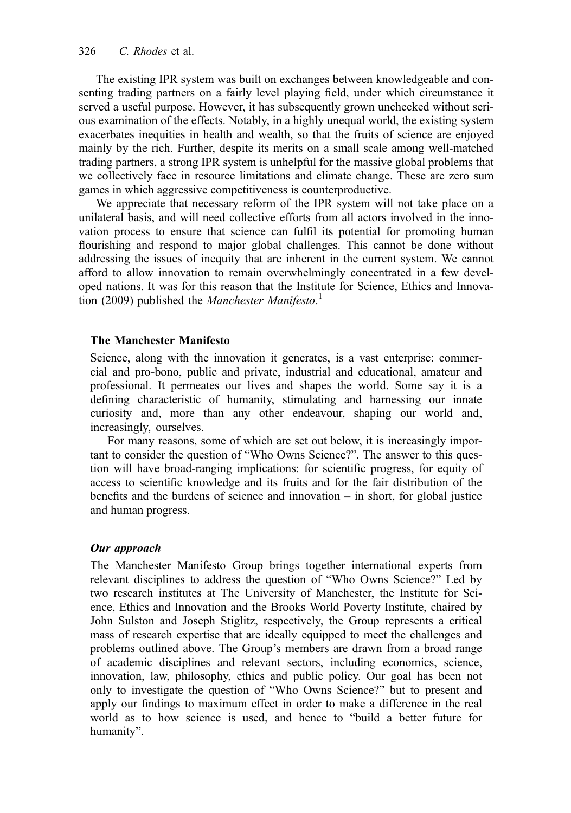The existing IPR system was built on exchanges between knowledgeable and consenting trading partners on a fairly level playing field, under which circumstance it served a useful purpose. However, it has subsequently grown unchecked without serious examination of the effects. Notably, in a highly unequal world, the existing system exacerbates inequities in health and wealth, so that the fruits of science are enjoyed mainly by the rich. Further, despite its merits on a small scale among well-matched trading partners, a strong IPR system is unhelpful for the massive global problems that we collectively face in resource limitations and climate change. These are zero sum games in which aggressive competitiveness is counterproductive.

We appreciate that necessary reform of the IPR system will not take place on a unilateral basis, and will need collective efforts from all actors involved in the innovation process to ensure that science can fulfil its potential for promoting human flourishing and respond to major global challenges. This cannot be done without addressing the issues of inequity that are inherent in the current system. We cannot afford to allow innovation to remain overwhelmingly concentrated in a few developed nations. It was for this reason that the Institute for Science, Ethics and Innovation (2009) published the Manchester Manifesto.<sup>1</sup>

#### The Manchester Manifesto

Science, along with the innovation it generates, is a vast enterprise: commercial and pro-bono, public and private, industrial and educational, amateur and professional. It permeates our lives and shapes the world. Some say it is a defining characteristic of humanity, stimulating and harnessing our innate curiosity and, more than any other endeavour, shaping our world and, increasingly, ourselves.

For many reasons, some of which are set out below, it is increasingly important to consider the question of "Who Owns Science?". The answer to this question will have broad-ranging implications: for scientific progress, for equity of access to scientific knowledge and its fruits and for the fair distribution of the benefits and the burdens of science and innovation – in short, for global justice and human progress.

# Our approach

The Manchester Manifesto Group brings together international experts from relevant disciplines to address the question of "Who Owns Science?" Led by two research institutes at The University of Manchester, the Institute for Science, Ethics and Innovation and the Brooks World Poverty Institute, chaired by John Sulston and Joseph Stiglitz, respectively, the Group represents a critical mass of research expertise that are ideally equipped to meet the challenges and problems outlined above. The Group's members are drawn from a broad range of academic disciplines and relevant sectors, including economics, science, innovation, law, philosophy, ethics and public policy. Our goal has been not only to investigate the question of "Who Owns Science?" but to present and apply our findings to maximum effect in order to make a difference in the real world as to how science is used, and hence to "build a better future for humanity".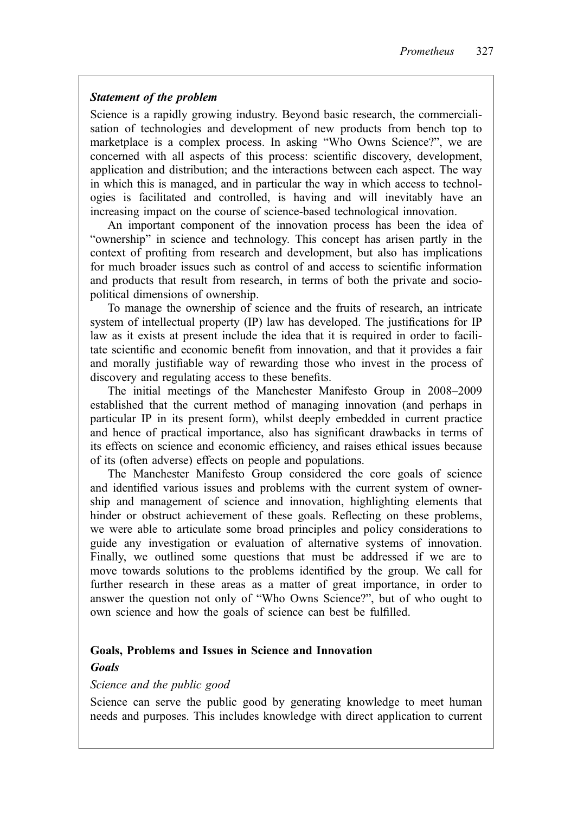#### Statement of the problem

Science is a rapidly growing industry. Beyond basic research, the commercialisation of technologies and development of new products from bench top to marketplace is a complex process. In asking "Who Owns Science?", we are concerned with all aspects of this process: scientific discovery, development, application and distribution; and the interactions between each aspect. The way in which this is managed, and in particular the way in which access to technologies is facilitated and controlled, is having and will inevitably have an increasing impact on the course of science-based technological innovation.

An important component of the innovation process has been the idea of "ownership" in science and technology. This concept has arisen partly in the context of profiting from research and development, but also has implications for much broader issues such as control of and access to scientific information and products that result from research, in terms of both the private and sociopolitical dimensions of ownership.

To manage the ownership of science and the fruits of research, an intricate system of intellectual property (IP) law has developed. The justifications for IP law as it exists at present include the idea that it is required in order to facilitate scientific and economic benefit from innovation, and that it provides a fair and morally justifiable way of rewarding those who invest in the process of discovery and regulating access to these benefits.

The initial meetings of the Manchester Manifesto Group in 2008–2009 established that the current method of managing innovation (and perhaps in particular IP in its present form), whilst deeply embedded in current practice and hence of practical importance, also has significant drawbacks in terms of its effects on science and economic efficiency, and raises ethical issues because of its (often adverse) effects on people and populations.

The Manchester Manifesto Group considered the core goals of science and identified various issues and problems with the current system of ownership and management of science and innovation, highlighting elements that hinder or obstruct achievement of these goals. Reflecting on these problems, we were able to articulate some broad principles and policy considerations to guide any investigation or evaluation of alternative systems of innovation. Finally, we outlined some questions that must be addressed if we are to move towards solutions to the problems identified by the group. We call for further research in these areas as a matter of great importance, in order to answer the question not only of "Who Owns Science?", but of who ought to own science and how the goals of science can best be fulfilled.

#### Goals, Problems and Issues in Science and Innovation

#### **Goals**

#### Science and the public good

Science can serve the public good by generating knowledge to meet human needs and purposes. This includes knowledge with direct application to current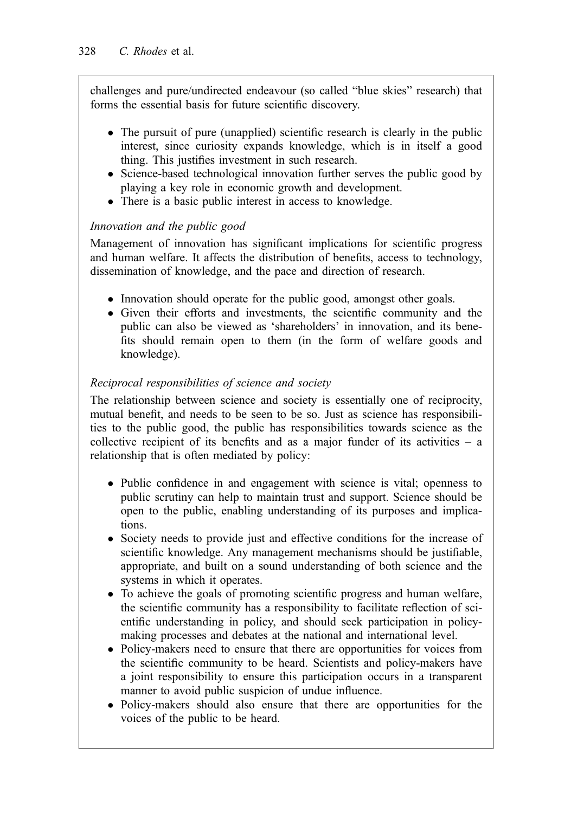challenges and pure/undirected endeavour (so called "blue skies" research) that forms the essential basis for future scientific discovery.

- The pursuit of pure (unapplied) scientific research is clearly in the public interest, since curiosity expands knowledge, which is in itself a good thing. This justifies investment in such research.
- Science-based technological innovation further serves the public good by playing a key role in economic growth and development.
- There is a basic public interest in access to knowledge.

# Innovation and the public good

Management of innovation has significant implications for scientific progress and human welfare. It affects the distribution of benefits, access to technology, dissemination of knowledge, and the pace and direction of research.

- Innovation should operate for the public good, amongst other goals.
- Given their efforts and investments, the scientific community and the public can also be viewed as 'shareholders' in innovation, and its benefits should remain open to them (in the form of welfare goods and knowledge).

# Reciprocal responsibilities of science and society

The relationship between science and society is essentially one of reciprocity, mutual benefit, and needs to be seen to be so. Just as science has responsibilities to the public good, the public has responsibilities towards science as the collective recipient of its benefits and as a major funder of its activities – a relationship that is often mediated by policy:

- Public confidence in and engagement with science is vital; openness to public scrutiny can help to maintain trust and support. Science should be open to the public, enabling understanding of its purposes and implications.
- Society needs to provide just and effective conditions for the increase of scientific knowledge. Any management mechanisms should be justifiable, appropriate, and built on a sound understanding of both science and the systems in which it operates.
- To achieve the goals of promoting scientific progress and human welfare, the scientific community has a responsibility to facilitate reflection of scientific understanding in policy, and should seek participation in policymaking processes and debates at the national and international level.
- Policy-makers need to ensure that there are opportunities for voices from the scientific community to be heard. Scientists and policy-makers have a joint responsibility to ensure this participation occurs in a transparent manner to avoid public suspicion of undue influence.
- Policy-makers should also ensure that there are opportunities for the voices of the public to be heard.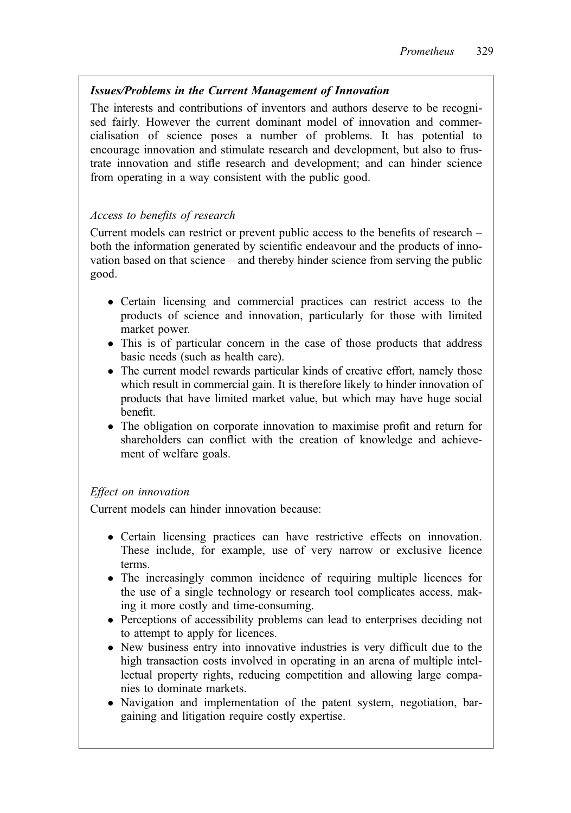# Issues/Problems in the Current Management of Innovation

The interests and contributions of inventors and authors deserve to be recognised fairly. However the current dominant model of innovation and commercialisation of science poses a number of problems. It has potential to encourage innovation and stimulate research and development, but also to frustrate innovation and stifle research and development; and can hinder science from operating in a way consistent with the public good.

# Access to benefits of research

Current models can restrict or prevent public access to the benefits of research – both the information generated by scientific endeavour and the products of innovation based on that science – and thereby hinder science from serving the public good.

- Certain licensing and commercial practices can restrict access to the products of science and innovation, particularly for those with limited market power.
- This is of particular concern in the case of those products that address basic needs (such as health care).
- The current model rewards particular kinds of creative effort, namely those which result in commercial gain. It is therefore likely to hinder innovation of products that have limited market value, but which may have huge social benefit.
- The obligation on corporate innovation to maximise profit and return for shareholders can conflict with the creation of knowledge and achievement of welfare goals.

# Effect on innovation

Current models can hinder innovation because:

- Certain licensing practices can have restrictive effects on innovation. These include, for example, use of very narrow or exclusive licence terms.
- The increasingly common incidence of requiring multiple licences for the use of a single technology or research tool complicates access, making it more costly and time-consuming.
- Perceptions of accessibility problems can lead to enterprises deciding not to attempt to apply for licences.
- New business entry into innovative industries is very difficult due to the high transaction costs involved in operating in an arena of multiple intellectual property rights, reducing competition and allowing large companies to dominate markets.
- Navigation and implementation of the patent system, negotiation, bargaining and litigation require costly expertise.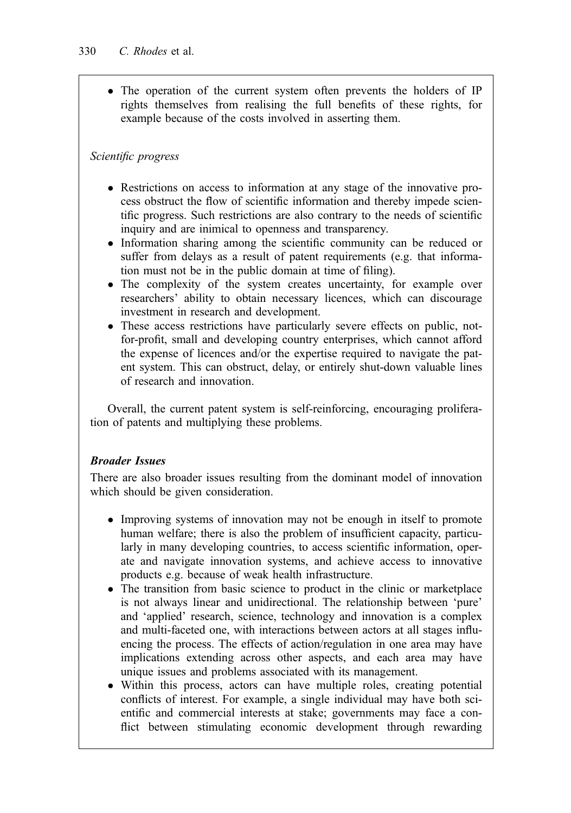• The operation of the current system often prevents the holders of IP rights themselves from realising the full benefits of these rights, for example because of the costs involved in asserting them.

# Scientific progress

- Restrictions on access to information at any stage of the innovative process obstruct the flow of scientific information and thereby impede scientific progress. Such restrictions are also contrary to the needs of scientific inquiry and are inimical to openness and transparency.
- Information sharing among the scientific community can be reduced or suffer from delays as a result of patent requirements (e.g. that information must not be in the public domain at time of filing).
- The complexity of the system creates uncertainty, for example over researchers' ability to obtain necessary licences, which can discourage investment in research and development.
- These access restrictions have particularly severe effects on public, notfor-profit, small and developing country enterprises, which cannot afford the expense of licences and/or the expertise required to navigate the patent system. This can obstruct, delay, or entirely shut-down valuable lines of research and innovation.

Overall, the current patent system is self-reinforcing, encouraging proliferation of patents and multiplying these problems.

#### Broader Issues

There are also broader issues resulting from the dominant model of innovation which should be given consideration.

- Improving systems of innovation may not be enough in itself to promote human welfare; there is also the problem of insufficient capacity, particularly in many developing countries, to access scientific information, operate and navigate innovation systems, and achieve access to innovative products e.g. because of weak health infrastructure.
- The transition from basic science to product in the clinic or marketplace is not always linear and unidirectional. The relationship between 'pure' and 'applied' research, science, technology and innovation is a complex and multi-faceted one, with interactions between actors at all stages influencing the process. The effects of action/regulation in one area may have implications extending across other aspects, and each area may have unique issues and problems associated with its management.
- Within this process, actors can have multiple roles, creating potential conflicts of interest. For example, a single individual may have both scientific and commercial interests at stake; governments may face a conflict between stimulating economic development through rewarding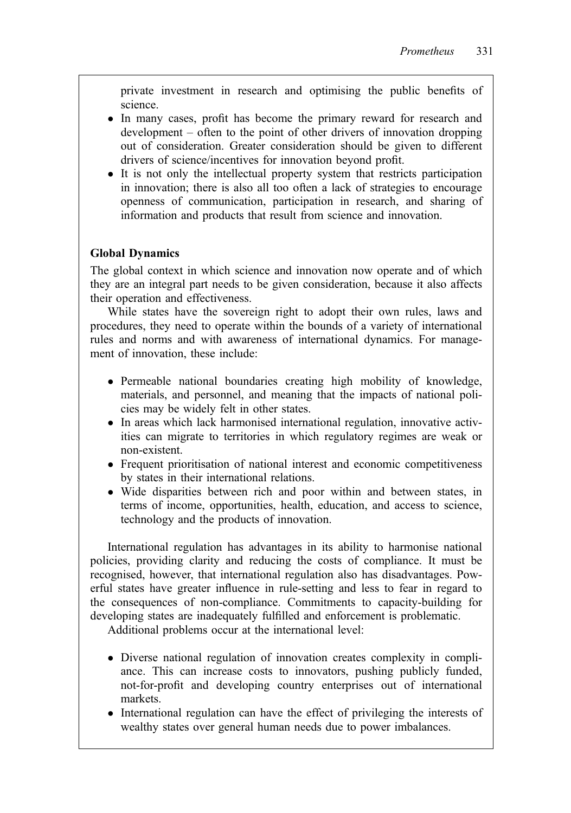private investment in research and optimising the public benefits of science.

- In many cases, profit has become the primary reward for research and development – often to the point of other drivers of innovation dropping out of consideration. Greater consideration should be given to different drivers of science/incentives for innovation beyond profit.
- It is not only the intellectual property system that restricts participation in innovation; there is also all too often a lack of strategies to encourage openness of communication, participation in research, and sharing of information and products that result from science and innovation.

#### Global Dynamics

The global context in which science and innovation now operate and of which they are an integral part needs to be given consideration, because it also affects their operation and effectiveness.

While states have the sovereign right to adopt their own rules, laws and procedures, they need to operate within the bounds of a variety of international rules and norms and with awareness of international dynamics. For management of innovation, these include:

- Permeable national boundaries creating high mobility of knowledge, materials, and personnel, and meaning that the impacts of national policies may be widely felt in other states.
- In areas which lack harmonised international regulation, innovative activities can migrate to territories in which regulatory regimes are weak or non-existent.
- Frequent prioritisation of national interest and economic competitiveness by states in their international relations.
- Wide disparities between rich and poor within and between states, in terms of income, opportunities, health, education, and access to science, technology and the products of innovation.

International regulation has advantages in its ability to harmonise national policies, providing clarity and reducing the costs of compliance. It must be recognised, however, that international regulation also has disadvantages. Powerful states have greater influence in rule-setting and less to fear in regard to the consequences of non-compliance. Commitments to capacity-building for developing states are inadequately fulfilled and enforcement is problematic.

Additional problems occur at the international level:

- Diverse national regulation of innovation creates complexity in compliance. This can increase costs to innovators, pushing publicly funded, not-for-profit and developing country enterprises out of international markets.
- International regulation can have the effect of privileging the interests of wealthy states over general human needs due to power imbalances.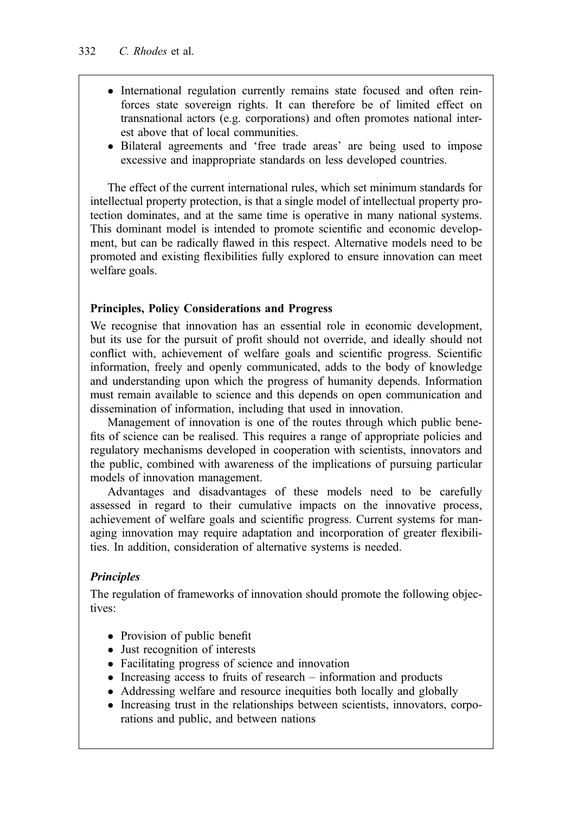- International regulation currently remains state focused and often reinforces state sovereign rights. It can therefore be of limited effect on transnational actors (e.g. corporations) and often promotes national interest above that of local communities.
- Bilateral agreements and 'free trade areas' are being used to impose excessive and inappropriate standards on less developed countries.

The effect of the current international rules, which set minimum standards for intellectual property protection, is that a single model of intellectual property protection dominates, and at the same time is operative in many national systems. This dominant model is intended to promote scientific and economic development, but can be radically flawed in this respect. Alternative models need to be promoted and existing flexibilities fully explored to ensure innovation can meet welfare goals.

# Principles, Policy Considerations and Progress

We recognise that innovation has an essential role in economic development, but its use for the pursuit of profit should not override, and ideally should not conflict with, achievement of welfare goals and scientific progress. Scientific information, freely and openly communicated, adds to the body of knowledge and understanding upon which the progress of humanity depends. Information must remain available to science and this depends on open communication and dissemination of information, including that used in innovation.

Management of innovation is one of the routes through which public benefits of science can be realised. This requires a range of appropriate policies and regulatory mechanisms developed in cooperation with scientists, innovators and the public, combined with awareness of the implications of pursuing particular models of innovation management.

Advantages and disadvantages of these models need to be carefully assessed in regard to their cumulative impacts on the innovative process, achievement of welfare goals and scientific progress. Current systems for managing innovation may require adaptation and incorporation of greater flexibilities. In addition, consideration of alternative systems is needed.

# Principles

The regulation of frameworks of innovation should promote the following objectives:

- Provision of public benefit
- Just recognition of interests
- Facilitating progress of science and innovation
- $\bullet$  Increasing access to fruits of research information and products
- Addressing welfare and resource inequities both locally and globally
- Increasing trust in the relationships between scientists, innovators, corporations and public, and between nations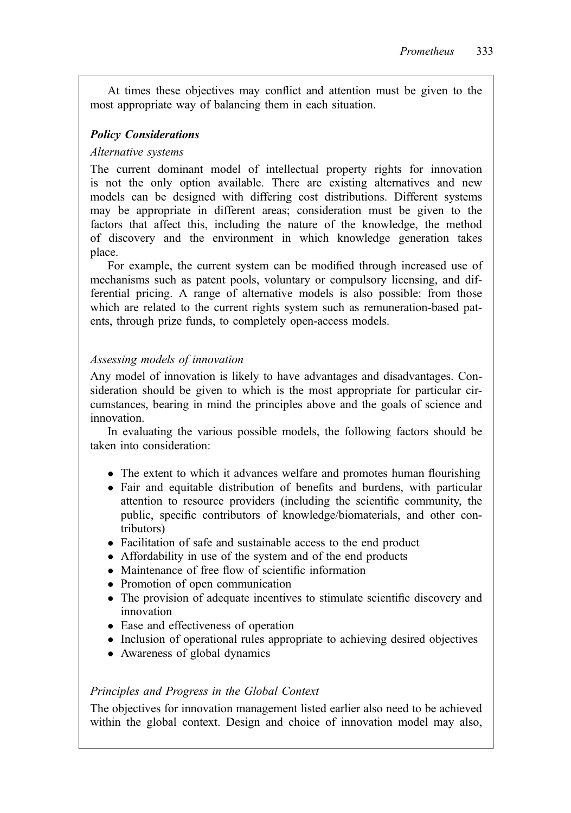At times these objectives may conflict and attention must be given to the most appropriate way of balancing them in each situation.

# Policy Considerations

# Alternative systems

The current dominant model of intellectual property rights for innovation is not the only option available. There are existing alternatives and new models can be designed with differing cost distributions. Different systems may be appropriate in different areas; consideration must be given to the factors that affect this, including the nature of the knowledge, the method of discovery and the environment in which knowledge generation takes place.

For example, the current system can be modified through increased use of mechanisms such as patent pools, voluntary or compulsory licensing, and differential pricing. A range of alternative models is also possible: from those which are related to the current rights system such as remuneration-based patents, through prize funds, to completely open-access models.

# Assessing models of innovation

Any model of innovation is likely to have advantages and disadvantages. Consideration should be given to which is the most appropriate for particular circumstances, bearing in mind the principles above and the goals of science and innovation.

In evaluating the various possible models, the following factors should be taken into consideration:

- The extent to which it advances welfare and promotes human flourishing
- Fair and equitable distribution of benefits and burdens, with particular attention to resource providers (including the scientific community, the public, specific contributors of knowledge/biomaterials, and other contributors)
- Facilitation of safe and sustainable access to the end product
- Affordability in use of the system and of the end products
- Maintenance of free flow of scientific information
- Promotion of open communication
- The provision of adequate incentives to stimulate scientific discovery and innovation
- Ease and effectiveness of operation
- Inclusion of operational rules appropriate to achieving desired objectives
- Awareness of global dynamics

# Principles and Progress in the Global Context

The objectives for innovation management listed earlier also need to be achieved within the global context. Design and choice of innovation model may also,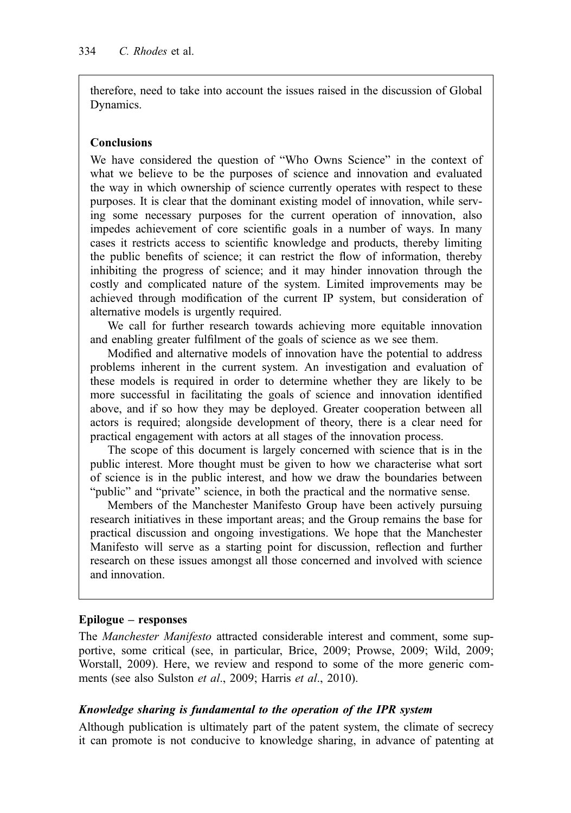therefore, need to take into account the issues raised in the discussion of Global Dynamics.

#### **Conclusions**

We have considered the question of "Who Owns Science" in the context of what we believe to be the purposes of science and innovation and evaluated the way in which ownership of science currently operates with respect to these purposes. It is clear that the dominant existing model of innovation, while serving some necessary purposes for the current operation of innovation, also impedes achievement of core scientific goals in a number of ways. In many cases it restricts access to scientific knowledge and products, thereby limiting the public benefits of science; it can restrict the flow of information, thereby inhibiting the progress of science; and it may hinder innovation through the costly and complicated nature of the system. Limited improvements may be achieved through modification of the current IP system, but consideration of alternative models is urgently required.

We call for further research towards achieving more equitable innovation and enabling greater fulfilment of the goals of science as we see them.

Modified and alternative models of innovation have the potential to address problems inherent in the current system. An investigation and evaluation of these models is required in order to determine whether they are likely to be more successful in facilitating the goals of science and innovation identified above, and if so how they may be deployed. Greater cooperation between all actors is required; alongside development of theory, there is a clear need for practical engagement with actors at all stages of the innovation process.

The scope of this document is largely concerned with science that is in the public interest. More thought must be given to how we characterise what sort of science is in the public interest, and how we draw the boundaries between "public" and "private" science, in both the practical and the normative sense.

Members of the Manchester Manifesto Group have been actively pursuing research initiatives in these important areas; and the Group remains the base for practical discussion and ongoing investigations. We hope that the Manchester Manifesto will serve as a starting point for discussion, reflection and further research on these issues amongst all those concerned and involved with science and innovation.

#### Epilogue – responses

The *Manchester Manifesto* attracted considerable interest and comment, some supportive, some critical (see, in particular, Brice, 2009; Prowse, 2009; Wild, 2009; Worstall, 2009). Here, we review and respond to some of the more generic comments (see also Sulston et al., 2009; Harris et al., 2010).

#### Knowledge sharing is fundamental to the operation of the IPR system

Although publication is ultimately part of the patent system, the climate of secrecy it can promote is not conducive to knowledge sharing, in advance of patenting at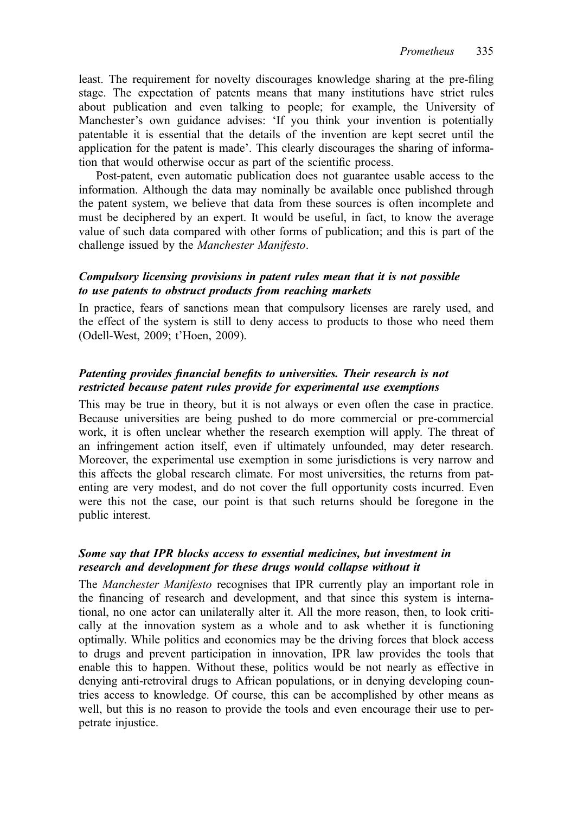least. The requirement for novelty discourages knowledge sharing at the pre-filing stage. The expectation of patents means that many institutions have strict rules about publication and even talking to people; for example, the University of Manchester's own guidance advises: 'If you think your invention is potentially patentable it is essential that the details of the invention are kept secret until the application for the patent is made'. This clearly discourages the sharing of information that would otherwise occur as part of the scientific process.

Post-patent, even automatic publication does not guarantee usable access to the information. Although the data may nominally be available once published through the patent system, we believe that data from these sources is often incomplete and must be deciphered by an expert. It would be useful, in fact, to know the average value of such data compared with other forms of publication; and this is part of the challenge issued by the Manchester Manifesto.

#### Compulsory licensing provisions in patent rules mean that it is not possible to use patents to obstruct products from reaching markets

In practice, fears of sanctions mean that compulsory licenses are rarely used, and the effect of the system is still to deny access to products to those who need them (Odell-West, 2009; t'Hoen, 2009).

#### Patenting provides financial benefits to universities. Their research is not restricted because patent rules provide for experimental use exemptions

This may be true in theory, but it is not always or even often the case in practice. Because universities are being pushed to do more commercial or pre-commercial work, it is often unclear whether the research exemption will apply. The threat of an infringement action itself, even if ultimately unfounded, may deter research. Moreover, the experimental use exemption in some jurisdictions is very narrow and this affects the global research climate. For most universities, the returns from patenting are very modest, and do not cover the full opportunity costs incurred. Even were this not the case, our point is that such returns should be foregone in the public interest.

#### Some say that IPR blocks access to essential medicines, but investment in research and development for these drugs would collapse without it

The Manchester Manifesto recognises that IPR currently play an important role in the financing of research and development, and that since this system is international, no one actor can unilaterally alter it. All the more reason, then, to look critically at the innovation system as a whole and to ask whether it is functioning optimally. While politics and economics may be the driving forces that block access to drugs and prevent participation in innovation, IPR law provides the tools that enable this to happen. Without these, politics would be not nearly as effective in denying anti-retroviral drugs to African populations, or in denying developing countries access to knowledge. Of course, this can be accomplished by other means as well, but this is no reason to provide the tools and even encourage their use to perpetrate injustice.